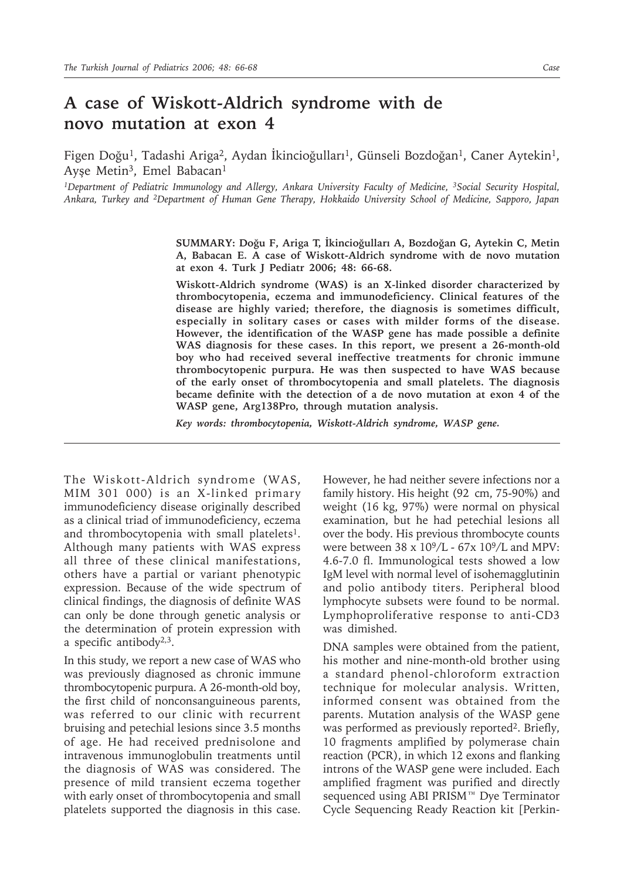## **A case of Wiskott-Aldrich syndrome with de novo mutation at exon 4**

Figen Doğu<sup>1</sup>, Tadashi Ariga<sup>2</sup>, Aydan İkincioğulları<sup>1</sup>, Günseli Bozdoğan<sup>1</sup>, Caner Aytekin<sup>1</sup>, Ayse Metin<sup>3</sup>, Emel Babacan<sup>1</sup>

*1Department of Pediatric Immunology and Allergy, Ankara University Faculty of Medicine, 3Social Security Hospital, Ankara, Turkey and 2Department of Human Gene Therapy, Hokkaido University School of Medicine, Sapporo, Japan*

> **SUMMARY: Doğu F, Ariga T, İkincioğulları A, Bozdoğan G, Aytekin C, Metin A, Babacan E. A case of Wiskott-Aldrich syndrome with de novo mutation at exon 4. Turk J Pediatr 2006; 48: 66-68.**

> **Wiskott-Aldrich syndrome (WAS) is an X-linked disorder characterized by thrombocytopenia, eczema and immunodeficiency. Clinical features of the disease are highly varied; therefore, the diagnosis is sometimes difficult, especially in solitary cases or cases with milder forms of the disease. However, the identification of the WASP gene has made possible a definite WAS diagnosis for these cases. In this report, we present a 26-month-old boy who had received several ineffective treatments for chronic immune thrombocytopenic purpura. He was then suspected to have WAS because of the early onset of thrombocytopenia and small platelets. The diagnosis became definite with the detection of a de novo mutation at exon 4 of the WASP gene, Arg138Pro, through mutation analysis.**

*Key words: thrombocytopenia, Wiskott-Aldrich syndrome, WASP gene.*

The Wiskott-Aldrich syndrome (WAS, MIM 301 000) is an X-linked primary immunodeficiency disease originally described as a clinical triad of immunodeficiency, eczema and thrombocytopenia with small platelets<sup>1</sup>. Although many patients with WAS express all three of these clinical manifestations, others have a partial or variant phenotypic expression. Because of the wide spectrum of clinical findings, the diagnosis of definite WAS can only be done through genetic analysis or the determination of protein expression with a specific antibody $2,3$ .

In this study, we report a new case of WAS who was previously diagnosed as chronic immune thrombocytopenic purpura. A 26-month-old boy, the first child of nonconsanguineous parents, was referred to our clinic with recurrent bruising and petechial lesions since 3.5 months of age. He had received prednisolone and intravenous immunoglobulin treatments until the diagnosis of WAS was considered. The presence of mild transient eczema together with early onset of thrombocytopenia and small platelets supported the diagnosis in this case.

However, he had neither severe infections nor a family history. His height (92 cm, 75-90%) and weight (16 kg, 97%) were normal on physical examination, but he had petechial lesions all over the body. His previous thrombocyte counts were between 38 x 109/L - 67x 109/L and MPV: 4.6-7.0 fl. Immunological tests showed a low IgM level with normal level of isohemagglutinin and polio antibody titers. Peripheral blood lymphocyte subsets were found to be normal. Lymphoproliferative response to anti-CD3 was dimished.

DNA samples were obtained from the patient, his mother and nine-month-old brother using a standard phenol-chloroform extraction technique for molecular analysis. Written, informed consent was obtained from the parents. Mutation analysis of the WASP gene was performed as previously reported<sup>2</sup>. Briefly, 10 fragments amplified by polymerase chain reaction (PCR), in which 12 exons and flanking introns of the WASP gene were included. Each amplified fragment was purified and directly sequenced using ABI PRISM™ Dye Terminator Cycle Sequencing Ready Reaction kit [Perkin-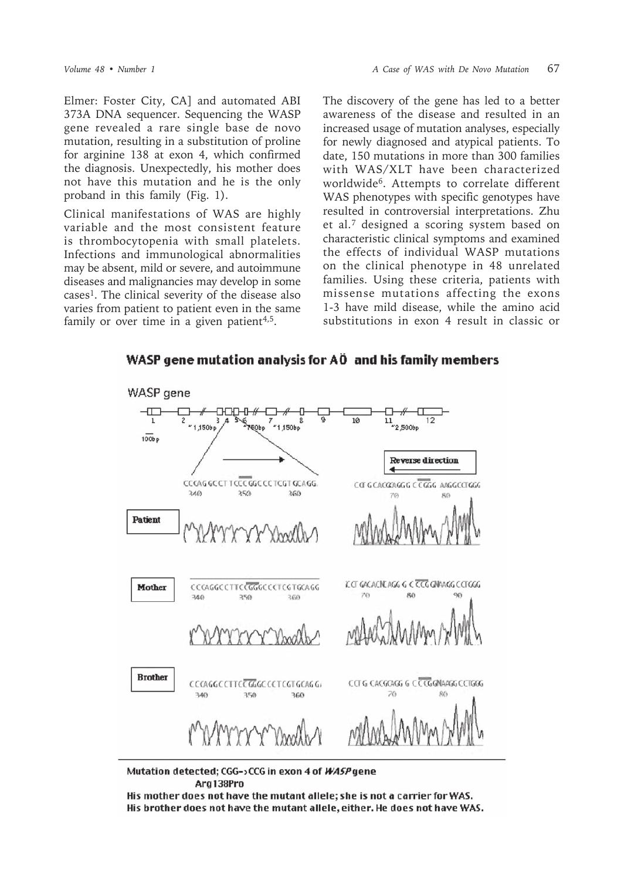Elmer: Foster City, CA] and automated ABI 373A DNA sequencer. Sequencing the WASP gene revealed a rare single base de novo mutation, resulting in a substitution of proline for arginine 138 at exon 4, which confirmed the diagnosis. Unexpectedly, his mother does not have this mutation and he is the only proband in this family (Fig. 1).

Clinical manifestations of WAS are highly variable and the most consistent feature is thrombocytopenia with small platelets. Infections and immunological abnormalities may be absent, mild or severe, and autoimmune diseases and malignancies may develop in some cases1. The clinical severity of the disease also varies from patient to patient even in the same family or over time in a given patient<sup>4,5</sup>.

The discovery of the gene has led to a better awareness of the disease and resulted in an increased usage of mutation analyses, especially for newly diagnosed and atypical patients. To date, 150 mutations in more than 300 families with WAS/XLT have been characterized worldwide6. Attempts to correlate different WAS phenotypes with specific genotypes have resulted in controversial interpretations. Zhu et al.7 designed a scoring system based on characteristic clinical symptoms and examined the effects of individual WASP mutations on the clinical phenotype in 48 unrelated families. Using these criteria, patients with missense mutations affecting the exons 1-3 have mild disease, while the amino acid substitutions in exon 4 result in classic or

WASP gene mutation analysis for AÖ and his family members



Mutation detected; CGG->CCG in exon 4 of WASP gene Arg138Pro

His mother does not have the mutant allele; she is not a carrier for WAS. His brother does not have the mutant allele, either. He does not have WAS.